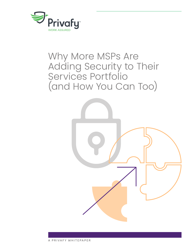

# Why More MSPs Are Adding Security to Their Services Portfolio (and How You Can Too)



A PRIVAFY WHITEPAPER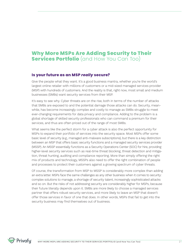# **Why More MSPs Are Adding Security to Their Services Portfolio** (and How You Can Too)

## **Is your future as an MSP** *really* **secure?**

Give the people what they want. It's a good business mantra, whether you're the world's largest online retailer with millions of customers or a mid-sized managed services provider (MSP) with hundreds of customers. And the reality is that, right now, most small and medium businesses (SMBs) want security services from their MSP.

It's easy to see why. Cyber threats are on the rise, both in terms of the number of attacks that SMBs are exposed to and the potential damage those attacks can do. Security, meanwhile, has become increasingly complex and costly to manage as SMBs struggle to meet ever-changing requirements for data privacy and compliance. Adding to the problem is a global shortage of skilled security professionals who can command a premium for their services, and thus are often priced out of the range of most SMBs.

What seems like the perfect storm for a cyber attack is also the perfect opportunity for MSPs to expand their portfolio of services into the security space. Most MSPs offer some basic level of security (e.g., managed anti-malware subscriptions), but there is a key distinction between an MSP that offers basic security functions and a managed security services provider (MSSP). An MSSP essentially functions as a Security Operations Center (SOC) for hire, providing higher-level security services such as real-time threat blocking, threat detection and mitigation, threat hunting, auditing and compliance reporting. More than simply offering the right mix of products and technology, MSSPs also need to offer the right combination of people and processes to protect their customers against a growing spectrum of cyber threats.

Of course, the transformation from MSP to MSSP is considerably more complex than adding an extra letter. MSPs face the same challenges as any other business when it comes to security: complex solutions to manage, a shortage of security talent, increasingly sophisticated attacks and so on. But the risks of not addressing security are considerably higher for MSPs, because their future literally depends upon it. SMBs are more likely to choose a managed services partner that offers robust security services, and more likely to leave an MSP that doesn't offer those services in favor of one that does. In other words, MSPs that fail to get into the security business may find themselves out of business.

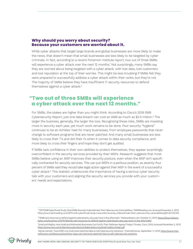### **Why should you worry about security? Because your customers are worried about it.**

While cyber attacks that target large brands and global businesses are more likely to make the news, that doesn't mean that small businesses are less likely to be targeted by cyber criminals. In fact, according to a recent Ponemon Institute report, two out of three SMBs will experience a cyber attack over the next 12 months.<sup>1</sup> Not surprisingly, many SMBs say they are worried about being targeted with a cyber attack, with lost data, lost customers and lost reputation at the top of their worries. This might be less troubling if SMBs felt they were prepared to successfully address a cyber attack within their ranks, but they're not. The majority of SMBs believe they have insufficient IT security resources to defend themselves against a cyber attack.<sup>2</sup>

# **"Two out of three SMBs will experience a cyber attack over the next 12 months."**

For SMBs, the stakes are higher than you might think. According to Cisco's 2018 SMB Cybersecurity Report, just one data breach can cost an SMB as much as \$2.5 million.<sup>3</sup> The larger the business, generally, the larger the loss. Recognizing these risks, SMBs are investing more in security each year, yet much work remains to be done. Poor security "hygiene" continues to be an Achilles' heel for many businesses, from employee passwords that never change to software programs that are never patched. And many small businesses are less likely to cross their T's and dot their I's when it comes to data security compliance, and more likely to cross their fingers and hope they don't get audited.

If SMBs lack confidence in their own abilities to protect themselves, they appear surprisingly overconfident in the security services provided by their MSPs. Research suggests that most SMBs believe using an MSP improves their security posture, even when the MSP isn't specifically contracted for security services. This can put MSPs in a perilous position, as seventy-four percent of SMBs said they would take legal action against their MSP in the event of a successful cyber attack.4 This statistic underscores the importance of having a serious cyber security talk with your customers and aligning the security services you provide with your customers' needs and expectations.

<sup>4</sup> Adrian Gendre, "How MSPs Can Overcome Optimism Bias to Sell Cybersecurity Solutions," ChannelFutures, September 17, 2019, https://www.channelfutures.com/best-practices/how-msps-can-overcome-optimism-bias-to-sell-cybersecurity-solutions.



<sup>1</sup> "2019 SMB Cyberthreat Study: Most SMBs Severely Underestimate Their Cybersecurity Vulnerabilities," DARKReading.com, Accessed November 5, 2019, https://www.darkreading.com/2019-smb-cyberthreat-study-most-smbs-severely-underestimate-their-cybersecurity-vulnerabilities/d/d-id/1335359.

<sup>&</sup>lt;sup>2</sup>"SMBs lack resources to defend against cyberattacks, plus pay more in the aftermath," Malwarebytes.com, October 31, 2019, <u>https://blog.malware-</u> bytes.com/business-2/2019/10/smbs-lack-resources-to-defend-against-cyberattacks-plus-pay-more-in-the-aftermath/.

<sup>3</sup> Small and Mighty: How Small and Midmarket Businesses Can Fortify Their Defenses Against Today's Threats, Cisco, 2018, Accessed November 5, 2019, https://www.cisco.com/c/dam/en/us/products/collateral/security/small-mighty-threat.pdf.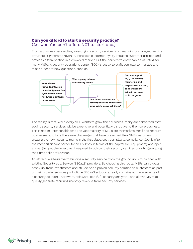## **Can you afford to start a security practice?** (Answer: You can't afford NOT to start one.)

From a business perspective, investing in security services is a clear win for managed service providers: it generates revenue, increases customer loyalty, reduces customer attrition and provides differentiation in a crowded market. But the barriers to entry can be daunting for many MSPs. A security operations center (SOC) is costly to staff, complex to manage and raises a host of new questions, such as:



The reality is that, while every MSP wants to grow their business, many are concerned that adding security services will be expensive and potentially disruptive to their core business. This is not an unreasonable fear. The vast majority of MSPs are themselves small and medium businesses, and face the same challenges that have prevented their SMB customers from creating their own security teams in the first place: cost, complexity, compliance. Cost is often the most significant barrier for MSPs, both in terms of the capital (i.e., equipment) and operational (i.e., people) investment required to bolster their security services prior to generating their first dollar of revenue.

An attractive alternative to building a security service from the ground up is to partner with existing Security as a Service (SECaaS) providers. By choosing this route, MSPs can bypass costly up-front investments and still deliver a proven security solution to customers as part of their broader services portfolio. A SECaaS solution already contains all the elements of a security solution—hardware, software, tier 1/2/3 security analysts—and allows MSPs to quickly generate recurring monthly revenue from security services.

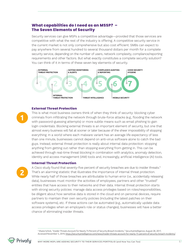## **What capabilities do I need as an MSSP? – The Seven Elements of Security**

Security services can give MSPs a competitive advantage—provided that those services are competitive with what the rest of the industry is offering. A competitive security service in the current market is not only comprehensive but also cost efficient. SMBs can expect to pay anywhere from several hundred to several thousand dollars per month for a complete security service, depending on the number of users, network complexity, compliance/reporting requirements and other factors. But what exactly constitutes a complete security solution? You can think of it in terms of these seven key elements of security.



#### **External Threat Protection**

**1**

**2**

This is what most business owners think of when they think of security: blocking cyber criminals from infiltrating the network through brute-force attacks (e.g., flooding the network with password-guessing attempts) or more subtle means such as email phishing to gain login credentials. Blocking external threats is an important element of security, but one that almost every business will fail at sooner or later because of the sheer impossibility of stopping everything. In a world where each malware variant has an average life expectancy of less than one minute, businesses cannot depend on anti-virus software alone to catch the bad guys. Instead, external threat protection is really about internal data protection: stopping anything from getting out rather than stopping everything from getting in. This can be achieved through real-time threat blocking in combination with analytics, anomaly detection, identity and access management (IAM) tools and, increasingly, artificial intelligence (AI) tools.

#### **Internal Threat Protection**

A Cisco study found that seventy-five percent of security breaches are due to insider threats.<sup>5</sup> That's an alarming statistic that illustrates the importance of internal threat protection. While nearly half of those breaches are attributable to human error (i.e., accidentally releasing data), businesses must monitor the activities of employees, partners and other "trusted" entities that have access to their networks and their data. Internal threat protection starts with strong security policies: manage data access privileges based on roles/responsibilities, be diligent about how sensitive data is stored in the cloud and on personal devices, require partners to maintain their own security policies (including the latest patches on their software systems), etc. If these actions can be automated (e.g., automatically update data access privileges when an employee's role or status changes), businesses will have a better chance of eliminating insider threats.

<sup>5</sup> Shane Schick, "Insider Threats Account for Nearly 75 Percent of Security Breach Incidents," SecurityIntelligence, August 28, 2017, Accessed November 5, 2019, https://securityintelligence.com/news/insider-threats-account-for-nearly-75-percent-of-security-breach-incidents/.

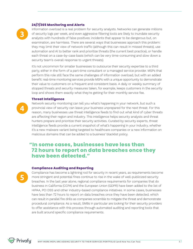#### **24/7/365 Monitoring and Alerts**

**3**

Information overload is a real problem for security analysts. Networks can generate millions of security logs per week, and even aggressive filtering tools are likely to inundate security analysts with hundreds of false positives: incidents that appear to be dangerous but, on examination, are harmless. There are several ways that businesses approach this problem: they may limit their view of network traffic (although this can result in missed threats), use automation and AI to better rank and prioritize threats (the current best practice), or handle each threat on a case-by-case basis (which can be very time-consuming and slow down a security team's overall response to urgent threats).

It's not uncommon for smaller businesses to outsource their security expertise to a third party, either in the form of a part-time consultant or a managed service provider. MSPs that perform this role still face the same challenges of information overload, but with an added benefit: real-time monitoring services provide MSPs with a unique opportunity to demonstrate their value to customers on a frequent and consistent basis. A daily or weekly summary of stopped threats and security measures taken, for example, keeps customers in the security loop and shows them exactly what they're getting for their monthly service fee.

#### **Threat Intelligence**

Network security monitoring can tell you what's happening in your network, but such a provincial view of security can leave your business unprepared for the next threat. For this reason, many businesses use threat intelligence feeds to find out what kind of cyber threats are affecting their region and industry. This intelligence helps security analysts and threat hunters prepare and prioritize their security activities. Curated by security experts, threat intelligence feeds provide a current snapshot of what's happening in your industry, whether it's a new malware variant being targeted to healthcare companies or a new information on malicious domains that can be added to a business' blacklist policy.

# **"In some cases, businesses have less than 72 hours to report on data breaches once they have been detected."**

#### **Compliance Auditing and Reporting**

Compliance has become a lightning rod for security in recent years, as requirements become more stringent and potential fines continue to rise in the wake of well-publicized security breaches. In the last year alone, regional compliance requirements for companies that do business in California (CCPA) and the European Union (GDPR) have been added to the list of HIPAA, PCI DSS and other industry-based compliance initiatives. In some cases, businesses have less than 72 hours to report on data breaches once they have been detected, which can result in parallel fire drills as companies scramble to mitigate the threat and demonstrate procedural compliance. As a result, SMBs in particular are looking for their security providers to offer assistance with this process through automated auditing and reporting tools that are built around specific compliance requirements.





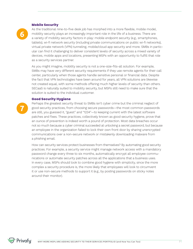#### **Mobile Security**

**6**

**7**

As the traditional nine-to-five desk job has morphed into a more flexible, mobile model, mobility security plays an increasingly important role in the life of a business. There are a variety of mobility security factors in play: mobile endpoint security (e.g., smartphones, tablets), wi-fi network security (including private communications on public wi-fi networks), virtual private network (VPN) tunneling, mobile/cloud app security and more. SMBs in particular can find it challenging to deliver consistent levels of security across a mixed variety of devices, mobile apps and locations, presenting MSPs with an opportunity to fulfill that role as a security services partner.

As you might imagine, mobility security is not a one-size-fits-all solution. For example, SMBs may have very different security requirements if they use remote agents for their call center, particularly when those agents handle sensitive personal or financial data. Despite the fact that VPN technologies have been around for years, all VPN solutions are likewise not created equal, with some methods offering much higher levels of security than others. SECaaS is naturally suited to mobility security, but MSPs still need to make sure that the solution is suited to the individual customer.

#### **Good Security Hygiene**

Perhaps the greatest security threat to SMBs isn't cyber crime but the criminal neglect of good security practices, from choosing secure passwords—the most common passwords are still, you guessed it, "guest" and "1234"—to keeping current with the latest software patches and fixes. These practices, collectively known as good security hygiene, prove that an ounce of prevention is indeed worth a pound of protection. Most data breaches occur not so much because a cyber criminal succeeded at unlocking a secret password, but because an employee in the organization failed to lock their own front door by sharing unencrypted communications over a non-secure network or mistakenly downloading malware from a phishing email.

How can security services protect businesses from themselves? By automating good security practices. For example, a security service might manage network access with a mandatory password change every three to six months, automatically encrypt all employee communications or automate security patches across all the applications that a business uses. In every case, MSPs should look to combine good hygiene with simplicity, since the more complex a security procedure is, the more likely that employees will look to circumvent it or use non-secure methods to support it (e.g., by posting passwords on sticky notes around their monitor).

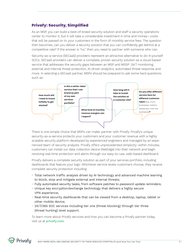# **Privafy: Security, Simplified**

As an MSP, you can build a best-of-breed security solution and staff a security operations center to monitor it, but it will take a considerable investment in time and money—costs that will be passed on to your customers in the form of monthly service fees. The question then becomes, can you deliver a security solution that you can confidently get behind at a competitive rate? If the answer is "no," then you need to partner with someone who can.

Security-as-a-service (SECaaS) providers represent an attractive alternative to do-it-yourself SOCs. SECaaS providers can deliver a complete, proven security solution as a cloud-based service that addresses the security gaps between an MSP and MSSP: 24/7 monitoring, external and internal threat protection, AI-driven analytics, automated threat response and more. In selecting a SECaaS partner, MSPs should be prepared to ask some hard questions, such as:



There is one simple choice that MSPs can make: partner with Privafy. Privafy's unique security-as-a-service protects your customers and your customer revenue with a highly scalable security platform developed by experienced engineers and managed by an experienced team of security analysts. Privafy offers unprecedented simplicity: within minutes, customers can install our data collection device (NetEdge) into their network and begin receiving real-time protection and alerts through our easy-to-use, web-based dashboard.

Privafy delivers a complete security solution as part of your services portfolio, including dashboards that feature your logo. Whichever service levels customers choose, they receive complete security protection including:

- Total network traffic analysis driven by AI technology and advanced machine learning to block, stop and mitigate external and internal threats;
- Fully automated security tasks, from software patches to password update reminders;
- Unique key encryption/exchange technology that delivers a highly secure VPN experience;
- Real-time security dashboards that can be viewed from a desktop, laptop, tablet or other mobile device;
- 24/7/365 SOC services including tier one (threat blocking) through tier three (threat hunting) level support.

To learn more about Privafy services and how you can become a Privafy partner today, visit us at **privafy.com**.